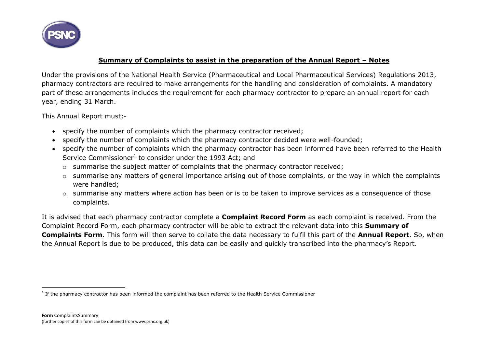

## **Summary of Complaints to assist in the preparation of the Annual Report – Notes**

Under the provisions of the National Health Service (Pharmaceutical and Local Pharmaceutical Services) Regulations 2013, pharmacy contractors are required to make arrangements for the handling and consideration of complaints. A mandatory part of these arrangements includes the requirement for each pharmacy contractor to prepare an annual report for each year, ending 31 March.

This Annual Report must:-

- specify the number of complaints which the pharmacy contractor received;
- specify the number of complaints which the pharmacy contractor decided were well-founded;
- specify the number of complaints which the pharmacy contractor has been informed have been referred to the Health Service Commissioner<sup>1</sup> to consider under the 1993 Act; and
	- o summarise the subject matter of complaints that the pharmacy contractor received;
	- o summarise any matters of general importance arising out of those complaints, or the way in which the complaints were handled;
	- o summarise any matters where action has been or is to be taken to improve services as a consequence of those complaints.

It is advised that each pharmacy contractor complete a **Complaint Record Form** as each complaint is received. From the Complaint Record Form, each pharmacy contractor will be able to extract the relevant data into this **Summary of Complaints Form**. This form will then serve to collate the data necessary to fulfil this part of the **Annual Report**. So, when the Annual Report is due to be produced, this data can be easily and quickly transcribed into the pharmacy's Report.

 $\overline{a}$ <sup>1</sup> If the pharmacy contractor has been informed the complaint has been referred to the Health Service Commissioner